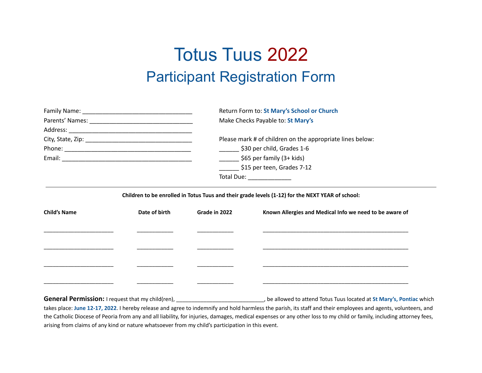## Totus Tuus 2022 Participant Registration Form

|                     |               |                                          | Return Form to: St Mary's School or Church<br>Make Checks Payable to: St Mary's                       |  |  |  |
|---------------------|---------------|------------------------------------------|-------------------------------------------------------------------------------------------------------|--|--|--|
|                     |               |                                          |                                                                                                       |  |  |  |
|                     |               |                                          |                                                                                                       |  |  |  |
|                     |               |                                          | Please mark # of children on the appropriate lines below:<br>$\frac{1}{2}$ \$30 per child, Grades 1-6 |  |  |  |
|                     |               |                                          |                                                                                                       |  |  |  |
|                     |               | $\frac{1}{2}$ \$65 per family (3+ kids)  |                                                                                                       |  |  |  |
|                     |               | $\frac{1}{2}$ \$15 per teen, Grades 7-12 |                                                                                                       |  |  |  |
|                     |               |                                          | Total Due: _______________                                                                            |  |  |  |
| <b>Child's Name</b> | Date of birth | Grade in 2022                            | Known Allergies and Medical Info we need to be aware of                                               |  |  |  |
|                     |               |                                          |                                                                                                       |  |  |  |
|                     |               |                                          |                                                                                                       |  |  |  |
|                     |               |                                          |                                                                                                       |  |  |  |
|                     |               |                                          |                                                                                                       |  |  |  |
|                     |               |                                          |                                                                                                       |  |  |  |

**General Permission:** I request that my child(ren), \_\_\_\_\_\_\_\_\_\_\_\_\_\_\_\_\_\_\_\_\_\_\_\_\_\_\_\_\_, be allowed to attend Totus Tuus located at **St Mary's, Pontiac** which takes place: **June 12-17, 2022**. I hereby release and agree to indemnify and hold harmless the parish, its staff and their employees and agents, volunteers, and the Catholic Diocese of Peoria from any and all liability, for injuries, damages, medical expenses or any other loss to my child or family, including attorney fees, arising from claims of any kind or nature whatsoever from my child's participation in this event.